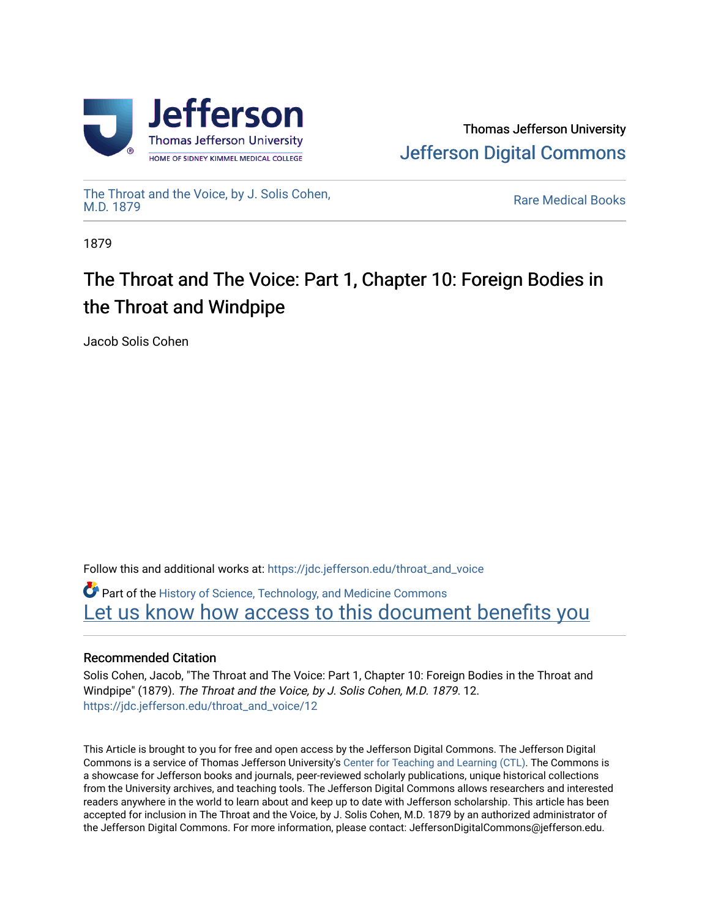



[The Throat and the Voice, by J. Solis Cohen,](https://jdc.jefferson.edu/throat_and_voice)

**Rare Medical Books** 

1879

# The Throat and The Voice: Part 1, Chapter 10: Foreign Bodies in the Throat and Windpipe

Jacob Solis Cohen

Follow this and additional works at: [https://jdc.jefferson.edu/throat\\_and\\_voice](https://jdc.jefferson.edu/throat_and_voice?utm_source=jdc.jefferson.edu%2Fthroat_and_voice%2F12&utm_medium=PDF&utm_campaign=PDFCoverPages)

**P** Part of the History of Science, Technology, and Medicine Commons [Let us know how access to this document benefits you](https://library.jefferson.edu/forms/jdc/index.cfm) 

## Recommended Citation

Solis Cohen, Jacob, "The Throat and The Voice: Part 1, Chapter 10: Foreign Bodies in the Throat and Windpipe" (1879). The Throat and the Voice, by J. Solis Cohen, M.D. 1879. 12. [https://jdc.jefferson.edu/throat\\_and\\_voice/12](https://jdc.jefferson.edu/throat_and_voice/12?utm_source=jdc.jefferson.edu%2Fthroat_and_voice%2F12&utm_medium=PDF&utm_campaign=PDFCoverPages) 

This Article is brought to you for free and open access by the Jefferson Digital Commons. The Jefferson Digital Commons is a service of Thomas Jefferson University's [Center for Teaching and Learning \(CTL\)](http://www.jefferson.edu/university/teaching-learning.html/). The Commons is a showcase for Jefferson books and journals, peer-reviewed scholarly publications, unique historical collections from the University archives, and teaching tools. The Jefferson Digital Commons allows researchers and interested readers anywhere in the world to learn about and keep up to date with Jefferson scholarship. This article has been accepted for inclusion in The Throat and the Voice, by J. Solis Cohen, M.D. 1879 by an authorized administrator of the Jefferson Digital Commons. For more information, please contact: JeffersonDigitalCommons@jefferson.edu.